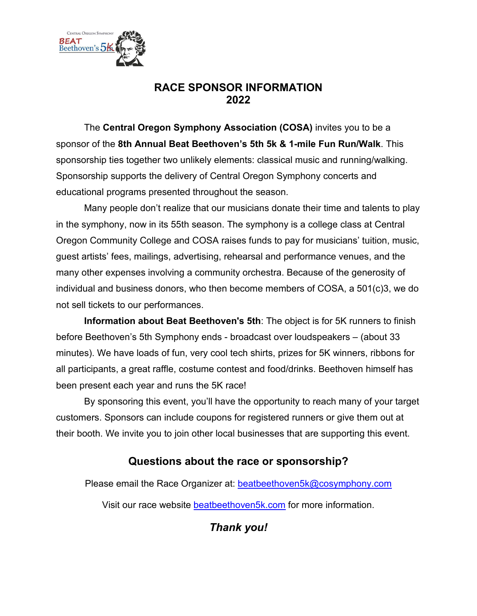

# **RACE SPONSOR INFORMATION 2022**

The **Central Oregon Symphony Association (COSA)** invites you to be a sponsor of the **8th Annual Beat Beethoven's 5th 5k & 1-mile Fun Run/Walk**. This sponsorship ties together two unlikely elements: classical music and running/walking. Sponsorship supports the delivery of Central Oregon Symphony concerts and educational programs presented throughout the season.

Many people don't realize that our musicians donate their time and talents to play in the symphony, now in its 55th season. The symphony is a college class at Central Oregon Community College and COSA raises funds to pay for musicians' tuition, music, guest artists' fees, mailings, advertising, rehearsal and performance venues, and the many other expenses involving a community orchestra. Because of the generosity of individual and business donors, who then become members of COSA, a 501(c)3, we do not sell tickets to our performances.

**Information about Beat Beethoven's 5th**: The object is for 5K runners to finish before Beethoven's 5th Symphony ends - broadcast over loudspeakers – (about 33 minutes). We have loads of fun, very cool tech shirts, prizes for 5K winners, ribbons for all participants, a great raffle, costume contest and food/drinks. Beethoven himself has been present each year and runs the 5K race!

By sponsoring this event, you'll have the opportunity to reach many of your target customers. Sponsors can include coupons for registered runners or give them out at their booth. We invite you to join other local businesses that are supporting this event.

# **Questions about the race or sponsorship?**

Please email the Race Organizer at: [beatbeethoven5k@cosymphony.com](mailto:beatbeethoven5k@cosymphony.com)

Visit our race website [beatbeethoven5k.com](https://cosymphony-my.sharepoint.com/personal/info_cosymphony_com/Documents/beatbeethoven5K.com) for more information.

*Thank you!*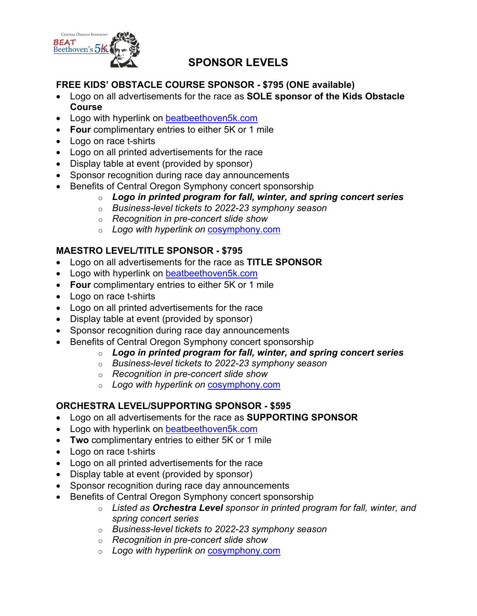

## **SPONSOR LEVELS**

### **FREE KIDS' OBSTACLE COURSE SPONSOR - \$795 (ONE available)**

- Logo on all advertisements for the race as **SOLE sponsor of the Kids Obstacle Course**
- Logo with hyperlink on [beatbeethoven5k.com](https://www.beatbeethoven5k.com/)
- **Four** complimentary entries to either 5K or 1 mile
- Logo on race t-shirts
- Logo on all printed advertisements for the race
- Display table at event (provided by sponsor)
- Sponsor recognition during race day announcements
- Benefits of Central Oregon Symphony concert sponsorship
	- o *Logo in printed program for fall, winter, and spring concert series*
	- o *Business-level tickets to 2022-23 symphony season*
	- o *Recognition in pre-concert slide show*
	- o *Logo with hyperlink on* [cosymphony.com](https://cosymphony-my.sharepoint.com/personal/info_cosymphony_com/Documents/BB5K/cosymphony.com)

### **MAESTRO LEVEL/TITLE SPONSOR - \$795**

- Logo on all advertisements for the race as **TITLE SPONSOR**
- Logo with hyperlink on [beatbeethoven5k.com](https://www.beatbeethoven5k.com/)
- **Four** complimentary entries to either 5K or 1 mile
- Logo on race t-shirts
- Logo on all printed advertisements for the race
- Display table at event (provided by sponsor)
- Sponsor recognition during race day announcements
- Benefits of Central Oregon Symphony concert sponsorship
	- o *Logo in printed program for fall, winter, and spring concert series*
	- o *Business-level tickets to 2022-23 symphony season*
	- o *Recognition in pre-concert slide show*
	- o *Logo with hyperlink on* [cosymphony.com](https://cosymphony-my.sharepoint.com/personal/info_cosymphony_com/Documents/BB5K/cosymphony.com)

## **ORCHESTRA LEVEL/SUPPORTING SPONSOR - \$595**

- Logo on all advertisements for the race as **SUPPORTING SPONSOR**
- Logo with hyperlink on [beatbeethoven5k.com](https://www.beatbeethoven5k.com/)
- **Two** complimentary entries to either 5K or 1 mile
- Logo on race t-shirts
- Logo on all printed advertisements for the race
- Display table at event (provided by sponsor)
- Sponsor recognition during race day announcements
- Benefits of Central Oregon Symphony concert sponsorship
	- o *Listed as Orchestra Level sponsor in printed program for fall, winter, and spring concert series*
	- o *Business-level tickets to 2022-23 symphony season*
	- o *Recognition in pre-concert slide show*
	- o *Logo with hyperlink on* [cosymphony.com](https://cosymphony-my.sharepoint.com/personal/info_cosymphony_com/Documents/BB5K/cosymphony.com)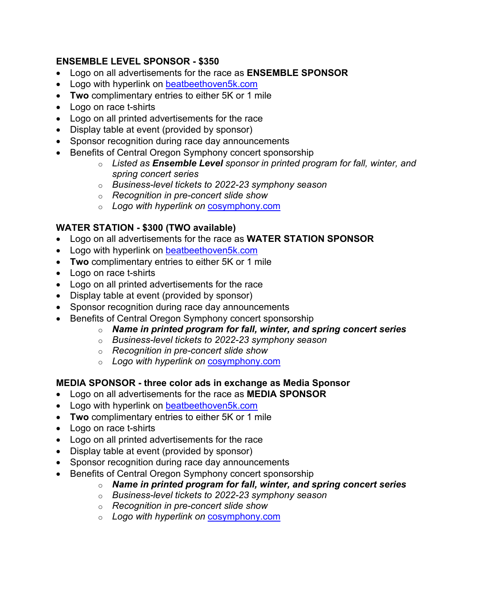### **ENSEMBLE LEVEL SPONSOR - \$350**

- Logo on all advertisements for the race as **ENSEMBLE SPONSOR**
- Logo with hyperlink on **beatbeethoven5k.com**
- **Two** complimentary entries to either 5K or 1 mile
- Logo on race t-shirts
- Logo on all printed advertisements for the race
- Display table at event (provided by sponsor)
- Sponsor recognition during race day announcements
- Benefits of Central Oregon Symphony concert sponsorship
	- o *Listed as Ensemble Level sponsor in printed program for fall, winter, and spring concert series*
	- o *Business-level tickets to 2022-23 symphony season*
	- o *Recognition in pre-concert slide show*
	- o *Logo with hyperlink on* [cosymphony.com](https://cosymphony-my.sharepoint.com/personal/info_cosymphony_com/Documents/BB5K/cosymphony.com)

### **WATER STATION - \$300 (TWO available)**

- Logo on all advertisements for the race as **WATER STATION SPONSOR**
- Logo with hyperlink on [beatbeethoven5k.com](https://www.beatbeethoven5k.com/)
- **Two** complimentary entries to either 5K or 1 mile
- Logo on race t-shirts
- Logo on all printed advertisements for the race
- Display table at event (provided by sponsor)
- Sponsor recognition during race day announcements
- Benefits of Central Oregon Symphony concert sponsorship
	- o *Name in printed program for fall, winter, and spring concert series*
	- o *Business-level tickets to 2022-23 symphony season*
	- o *Recognition in pre-concert slide show*
	- o *Logo with hyperlink on* [cosymphony.com](https://cosymphony-my.sharepoint.com/personal/info_cosymphony_com/Documents/BB5K/cosymphony.com)

### **MEDIA SPONSOR - three color ads in exchange as Media Sponsor**

- Logo on all advertisements for the race as **MEDIA SPONSOR**
- Logo with hyperlink on [beatbeethoven5k.com](https://www.beatbeethoven5k.com/)
- **Two** complimentary entries to either 5K or 1 mile
- Logo on race t-shirts
- Logo on all printed advertisements for the race
- Display table at event (provided by sponsor)
- Sponsor recognition during race day announcements
- Benefits of Central Oregon Symphony concert sponsorship
	- o *Name in printed program for fall, winter, and spring concert series*
	- o *Business-level tickets to 2022-23 symphony season*
	- o *Recognition in pre-concert slide show*
	- o *Logo with hyperlink on* [cosymphony.com](https://cosymphony-my.sharepoint.com/personal/info_cosymphony_com/Documents/BB5K/cosymphony.com)